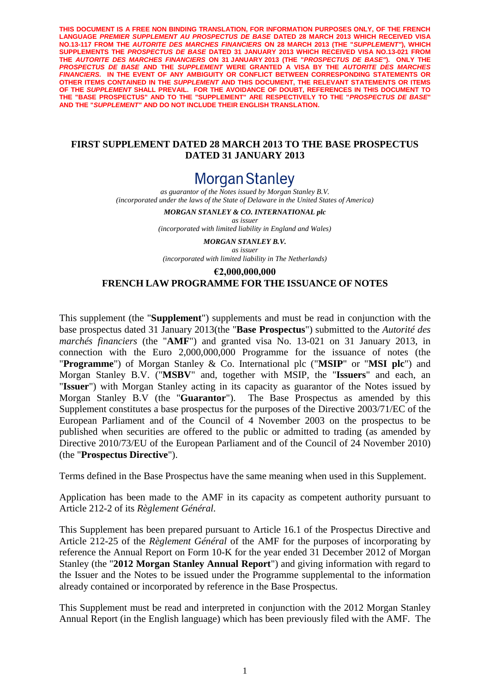**THIS DOCUMENT IS A FREE NON BINDING TRANSLATION, FOR INFORMATION PURPOSES ONLY, OF THE FRENCH**  LANGUAGE PREMIER SUPPLEMENT AU PROSPECTUS DE BASE DATED 28 MARCH 2013 WHICH RECEIVED VISA **NO.13-117 FROM THE** *AUTORITE DES MARCHES FINANCIERS* **ON 28 MARCH 2013 (THE "***SUPPLEMENT"***), WHICH SUPPLEMENTS THE** *PROSPECTUS DE BASE* **DATED 31 JANUARY 2013 WHICH RECEIVED VISA NO.13-021 FROM THE** *AUTORITE DES MARCHES FINANCIERS* **ON 31 JANUARY 2013 (THE "***PROSPECTUS DE BASE"***). ONLY THE**  *PROSPECTUS DE BASE* **AND THE** *SUPPLEMENT* **WERE GRANTED A VISA BY THE** *AUTORITE DES MARCHES FINANCIERS.* **IN THE EVENT OF ANY AMBIGUITY OR CONFLICT BETWEEN CORRESPONDING STATEMENTS OR OTHER ITEMS CONTAINED IN THE** *SUPPLEMENT* **AND THIS DOCUMENT, THE RELEVANT STATEMENTS OR ITEMS OF THE** *SUPPLEMENT* **SHALL PREVAIL. FOR THE AVOIDANCE OF DOUBT, REFERENCES IN THIS DOCUMENT TO THE "BASE PROSPECTUS" AND TO THE "SUPPLEMENT" ARE RESPECTIVELY TO THE "***PROSPECTUS DE BASE***" AND THE "***SUPPLEMENT"* **AND DO NOT INCLUDE THEIR ENGLISH TRANSLATION.**

#### **FIRST SUPPLEMENT DATED 28 MARCH 2013 TO THE BASE PROSPECTUS DATED 31 JANUARY 2013**

# **Morgan Stanley**

*as guarantor of the Notes issued by Morgan Stanley B.V. (incorporated under the laws of the State of Delaware in the United States of America)*

> *MORGAN STANLEY & CO. INTERNATIONAL plc as issuer (incorporated with limited liability in England and Wales)*

*MORGAN STANLEY B.V. as issuer (incorporated with limited liability in The Netherlands)*

# **€2,000,000,000 FRENCH LAW PROGRAMME FOR THE ISSUANCE OF NOTES**

This supplement (the "**Supplement**") supplements and must be read in conjunction with the base prospectus dated 31 January 2013(the "**Base Prospectus**") submitted to the *Autorité des marchés financiers* (the "**AMF**") and granted visa No. 13-021 on 31 January 2013, in connection with the Euro 2,000,000,000 Programme for the issuance of notes (the "**Programme**") of Morgan Stanley & Co. International plc ("**MSIP**" or "**MSI plc**") and Morgan Stanley B.V. ("**MSBV**" and, together with MSIP, the "**Issuers**" and each, an "**Issuer**") with Morgan Stanley acting in its capacity as guarantor of the Notes issued by Morgan Stanley B.V (the "**Guarantor**"). The Base Prospectus as amended by this Supplement constitutes a base prospectus for the purposes of the Directive 2003/71/EC of the European Parliament and of the Council of 4 November 2003 on the prospectus to be published when securities are offered to the public or admitted to trading (as amended by Directive 2010/73/EU of the European Parliament and of the Council of 24 November 2010) (the "**Prospectus Directive**").

Terms defined in the Base Prospectus have the same meaning when used in this Supplement.

Application has been made to the AMF in its capacity as competent authority pursuant to Article 212-2 of its *Règlement Général.*

This Supplement has been prepared pursuant to Article 16.1 of the Prospectus Directive and Article 212-25 of the *Règlement Général* of the AMF for the purposes of incorporating by reference the Annual Report on Form 10-K for the year ended 31 December 2012 of Morgan Stanley (the "**2012 Morgan Stanley Annual Report**") and giving information with regard to the Issuer and the Notes to be issued under the Programme supplemental to the information already contained or incorporated by reference in the Base Prospectus.

This Supplement must be read and interpreted in conjunction with the 2012 Morgan Stanley Annual Report (in the English language) which has been previously filed with the AMF. The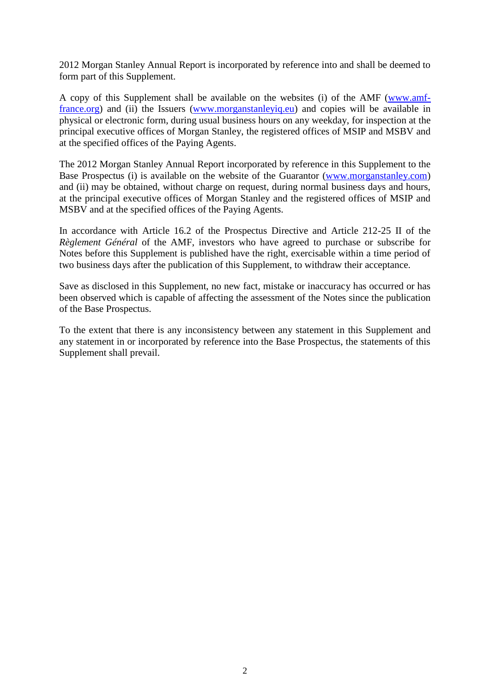2012 Morgan Stanley Annual Report is incorporated by reference into and shall be deemed to form part of this Supplement.

A copy of this Supplement shall be available on the websites (i) of the AMF [\(www.amf](www.amf-france.org)[france.org\)](www.amf-france.org) and (ii) the Issuers [\(www.morganstanleyiq.eu\)](http://spr1.intranet.cliffordchance.com/sites/FR-3000-NEW/Documents/www.morganstanleyiq.eu) and copies will be available in physical or electronic form, during usual business hours on any weekday, for inspection at the principal executive offices of Morgan Stanley, the registered offices of MSIP and MSBV and at the specified offices of the Paying Agents.

The 2012 Morgan Stanley Annual Report incorporated by reference in this Supplement to the Base Prospectus (i) is available on the website of the Guarantor [\(www.morganstanley.com\)](www.morganstanley.com) and (ii) may be obtained, without charge on request, during normal business days and hours, at the principal executive offices of Morgan Stanley and the registered offices of MSIP and MSBV and at the specified offices of the Paying Agents.

In accordance with Article 16.2 of the Prospectus Directive and Article 212-25 II of the *Règlement Général* of the AMF, investors who have agreed to purchase or subscribe for Notes before this Supplement is published have the right, exercisable within a time period of two business days after the publication of this Supplement, to withdraw their acceptance.

Save as disclosed in this Supplement, no new fact, mistake or inaccuracy has occurred or has been observed which is capable of affecting the assessment of the Notes since the publication of the Base Prospectus.

To the extent that there is any inconsistency between any statement in this Supplement and any statement in or incorporated by reference into the Base Prospectus, the statements of this Supplement shall prevail.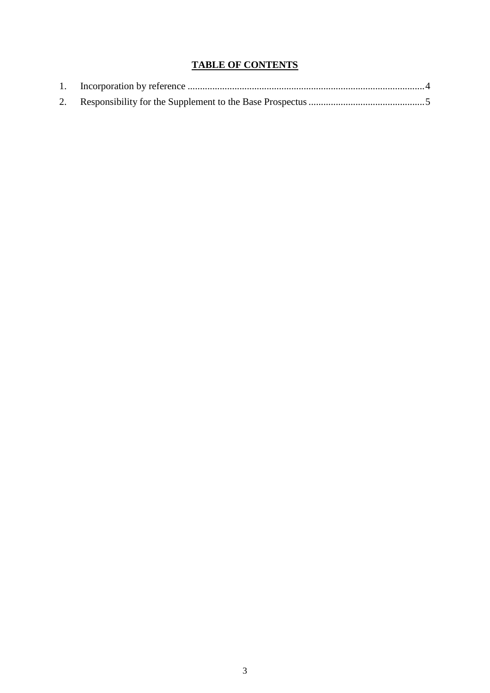# **TABLE OF CONTENTS**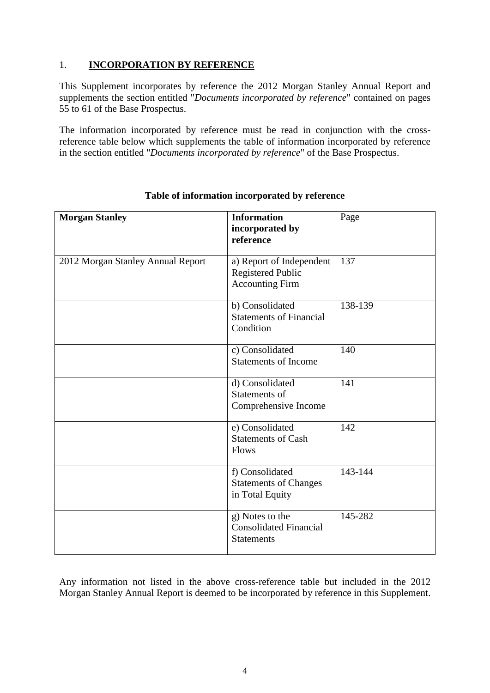# <span id="page-3-0"></span>1. **INCORPORATION BY REFERENCE**

This Supplement incorporates by reference the 2012 Morgan Stanley Annual Report and supplements the section entitled "*Documents incorporated by reference*" contained on pages 55 to 61 of the Base Prospectus.

The information incorporated by reference must be read in conjunction with the crossreference table below which supplements the table of information incorporated by reference in the section entitled "*Documents incorporated by reference*" of the Base Prospectus.

| <b>Morgan Stanley</b>             | <b>Information</b><br>incorporated by<br>reference                             | Page    |
|-----------------------------------|--------------------------------------------------------------------------------|---------|
| 2012 Morgan Stanley Annual Report | a) Report of Independent<br><b>Registered Public</b><br><b>Accounting Firm</b> | 137     |
|                                   | b) Consolidated<br><b>Statements of Financial</b><br>Condition                 | 138-139 |
|                                   | c) Consolidated<br><b>Statements of Income</b>                                 | 140     |
|                                   | d) Consolidated<br>Statements of<br>Comprehensive Income                       | 141     |
|                                   | e) Consolidated<br><b>Statements of Cash</b><br>Flows                          | 142     |
|                                   | f) Consolidated<br><b>Statements of Changes</b><br>in Total Equity             | 143-144 |
|                                   | $g)$ Notes to the<br><b>Consolidated Financial</b><br><b>Statements</b>        | 145-282 |

## **Table of information incorporated by reference**

Any information not listed in the above cross-reference table but included in the 2012 Morgan Stanley Annual Report is deemed to be incorporated by reference in this Supplement.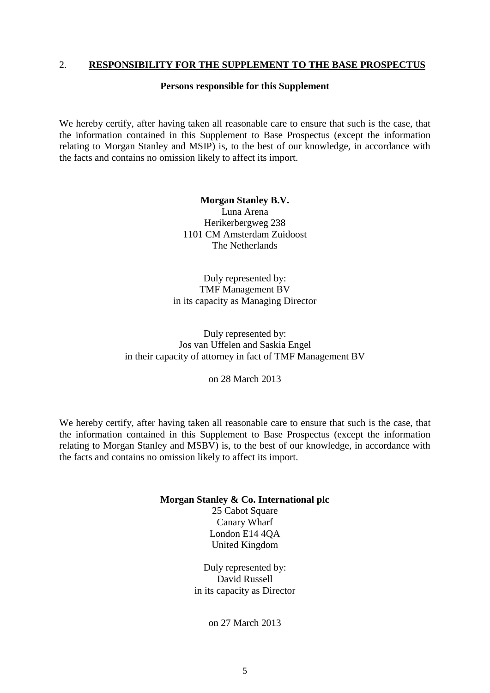## <span id="page-4-0"></span>2. **RESPONSIBILITY FOR THE SUPPLEMENT TO THE BASE PROSPECTUS**

#### **Persons responsible for this Supplement**

We hereby certify, after having taken all reasonable care to ensure that such is the case, that the information contained in this Supplement to Base Prospectus (except the information relating to Morgan Stanley and MSIP) is, to the best of our knowledge, in accordance with the facts and contains no omission likely to affect its import.

> **Morgan Stanley B.V.** Luna Arena Herikerbergweg 238 1101 CM Amsterdam Zuidoost The Netherlands

Duly represented by: TMF Management BV in its capacity as Managing Director

Duly represented by: Jos van Uffelen and Saskia Engel in their capacity of attorney in fact of TMF Management BV

on 28 March 2013

We hereby certify, after having taken all reasonable care to ensure that such is the case, that the information contained in this Supplement to Base Prospectus (except the information relating to Morgan Stanley and MSBV) is, to the best of our knowledge, in accordance with the facts and contains no omission likely to affect its import.

#### **Morgan Stanley & Co. International plc**

25 Cabot Square Canary Wharf London E14 4QA United Kingdom

Duly represented by: David Russell in its capacity as Director

on 27 March 2013